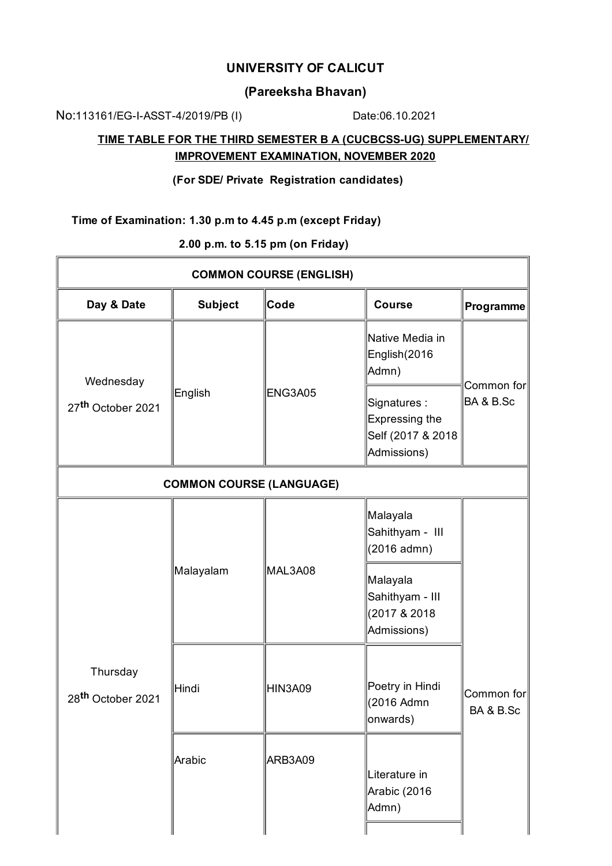## **UNIVERSITY OF CALICUT**

# **(Pareeksha Bhavan)**

No:113161/EG-I-ASST-4/2019/PB (I) Date:06.10.2021

٦Ī.

## **TIME TABLE FOR THE THIRD SEMESTER B A (CUCBCSS-UG) SUPPLEMENTARY/ IMPROVEMENT EXAMINATION, NOVEMBER 2020**

### **(For SDE/ Private Registration candidates)**

### **Time of Examination: 1.30 p.m to 4.45 p.m (except Friday)**

**2.00 p.m. to 5.15 pm (on Friday)**

| <b>COMMON COURSE (ENGLISH)</b>             |                |                 |                                                                          |                         |  |  |  |
|--------------------------------------------|----------------|-----------------|--------------------------------------------------------------------------|-------------------------|--|--|--|
| Day & Date                                 | <b>Subject</b> | $\mathsf{Code}$ | <b>Course</b>                                                            | Programme               |  |  |  |
| Wednesday<br>27 <sup>th</sup> October 2021 | English        | <b>ENG3A05</b>  | Native Media in<br>English(2016<br>Admn)                                 | Common for<br>BA & B.Sc |  |  |  |
|                                            |                |                 | Signatures:<br><b>Expressing the</b><br>Self (2017 & 2018<br>Admissions) |                         |  |  |  |
| <b>COMMON COURSE (LANGUAGE)</b>            |                |                 |                                                                          |                         |  |  |  |
| Thursday<br>28 <sup>th</sup> October 2021  | Malayalam      | MAL3A08         | Malayala<br>Sahithyam - III<br>(2016 admn)                               | Common for<br>BA & B.Sc |  |  |  |
|                                            |                |                 | Malayala<br>Sahithyam - III<br>(2017 & 2018)<br>Admissions)              |                         |  |  |  |
|                                            | Hindi          | <b>HIN3A09</b>  | Poetry in Hindi<br>(2016 Admn<br>onwards)                                |                         |  |  |  |
|                                            | Arabic         | ARB3A09         | Literature in<br>Arabic (2016<br>Admn)                                   |                         |  |  |  |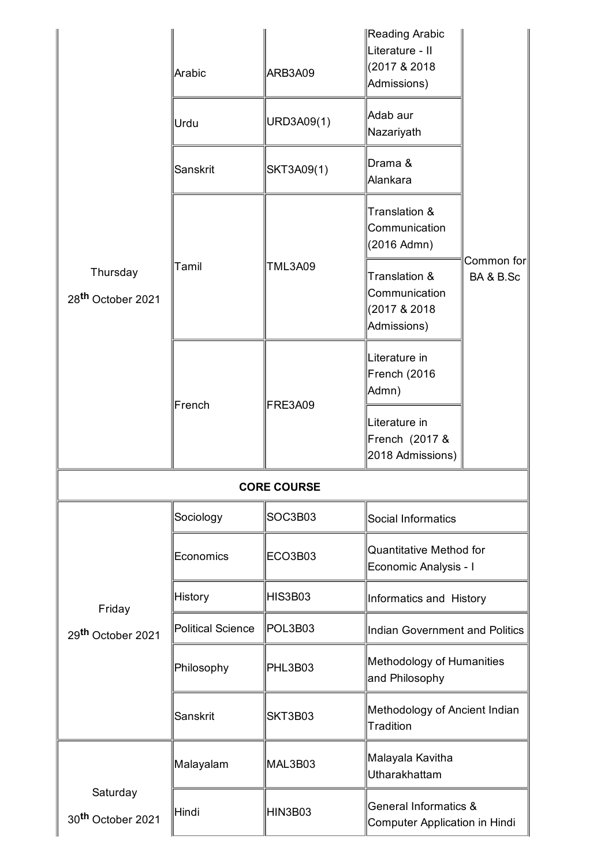| Thursday<br>28 <sup>th</sup> October 2021 | Arabic                   | ARB3A09        | Reading Arabic<br>Literature - II<br>(2017 & 2018)<br>Admissions) |                          |  |  |  |
|-------------------------------------------|--------------------------|----------------|-------------------------------------------------------------------|--------------------------|--|--|--|
|                                           | Urdu                     | URD3A09(1)     | Adab aur<br>Nazariyath                                            |                          |  |  |  |
|                                           | Sanskrit                 | SKT3A09(1)     | Drama &<br>Alankara                                               | Common for∥<br>BA & B.Sc |  |  |  |
|                                           | Tamil                    | <b>TML3A09</b> | Translation &<br>Communication<br>(2016 Admn)                     |                          |  |  |  |
|                                           |                          |                | Translation &<br>Communication<br>(2017 & 2018)<br>Admissions)    |                          |  |  |  |
|                                           | French                   | FRE3A09        | Literature in<br>French (2016<br>Admn)                            |                          |  |  |  |
|                                           |                          |                | Literature in<br>French (2017 &<br>2018 Admissions)               |                          |  |  |  |
| <b>CORE COURSE</b>                        |                          |                |                                                                   |                          |  |  |  |
| Friday<br>29 <sup>th</sup> October 2021   | Sociology                | SOC3B03        | Social Informatics                                                |                          |  |  |  |
|                                           | Economics                | ECO3B03        | <b>Quantitative Method for</b><br>Economic Analysis - I           |                          |  |  |  |
|                                           | <b>History</b>           | HIS3B03        | Informatics and History                                           |                          |  |  |  |
|                                           | <b>Political Science</b> | POL3B03        | Indian Government and Politics                                    |                          |  |  |  |
|                                           | Philosophy               | PHL3B03        | Methodology of Humanities<br>and Philosophy                       |                          |  |  |  |
|                                           | Sanskrit                 | SKT3B03        | Methodology of Ancient Indian<br>Tradition                        |                          |  |  |  |
|                                           | Malayalam                | MAL3B03        | Malayala Kavitha<br>Utharakhattam                                 |                          |  |  |  |
| Saturday<br>30 <sup>th</sup> October 2021 | Hindi                    | HIN3B03        | <b>General Informatics &amp;</b><br>Computer Application in Hindi |                          |  |  |  |